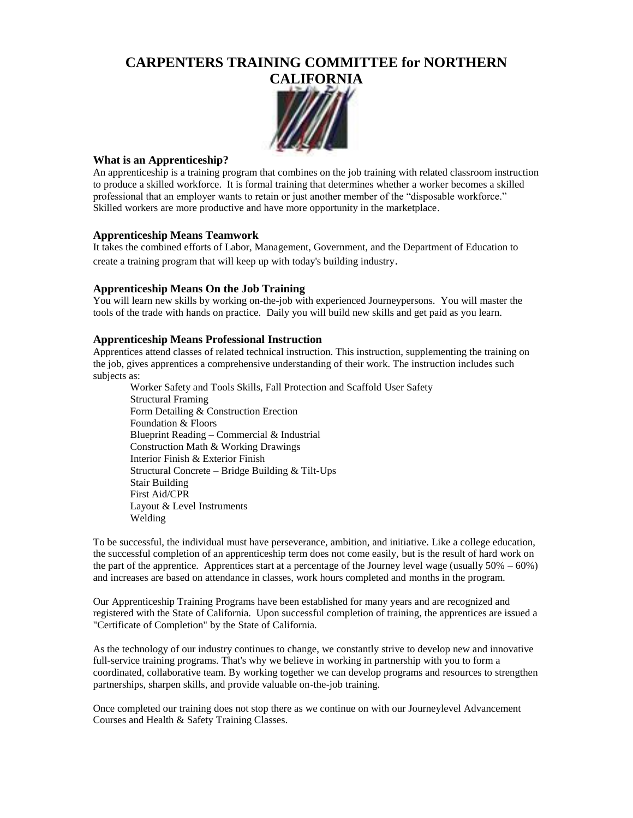# **CARPENTERS TRAINING COMMITTEE for NORTHERN**



#### **What is an Apprenticeship?**

An apprenticeship is a training program that combines on the job training with related classroom instruction to produce a skilled workforce. It is formal training that determines whether a worker becomes a skilled professional that an employer wants to retain or just another member of the "disposable workforce." Skilled workers are more productive and have more opportunity in the marketplace.

### **Apprenticeship Means Teamwork**

It takes the combined efforts of Labor, Management, Government, and the Department of Education to create a training program that will keep up with today's building industry.

### **Apprenticeship Means On the Job Training**

You will learn new skills by working on-the-job with experienced Journeypersons. You will master the tools of the trade with hands on practice. Daily you will build new skills and get paid as you learn.

#### **Apprenticeship Means Professional Instruction**

Apprentices attend classes of related technical instruction. This instruction, supplementing the training on the job, gives apprentices a comprehensive understanding of their work. The instruction includes such subjects as:

Worker Safety and Tools Skills, Fall Protection and Scaffold User Safety Structural Framing Form Detailing & Construction Erection Foundation & Floors Blueprint Reading – Commercial & Industrial Construction Math & Working Drawings Interior Finish & Exterior Finish Structural Concrete – Bridge Building & Tilt-Ups Stair Building First Aid/CPR Layout & Level Instruments Welding

To be successful, the individual must have perseverance, ambition, and initiative. Like a college education, the successful completion of an apprenticeship term does not come easily, but is the result of hard work on the part of the apprentice. Apprentices start at a percentage of the Journey level wage (usually  $50\% - 60\%$ ) and increases are based on attendance in classes, work hours completed and months in the program.

Our Apprenticeship Training Programs have been established for many years and are recognized and registered with the State of California. Upon successful completion of training, the apprentices are issued a "Certificate of Completion" by the State of California.

As the technology of our industry continues to change, we constantly strive to develop new and innovative full-service training programs. That's why we believe in working in partnership with you to form a coordinated, collaborative team. By working together we can develop programs and resources to strengthen partnerships, sharpen skills, and provide valuable on-the-job training.

Once completed our training does not stop there as we continue on with our Journeylevel Advancement Courses and Health & Safety Training Classes.